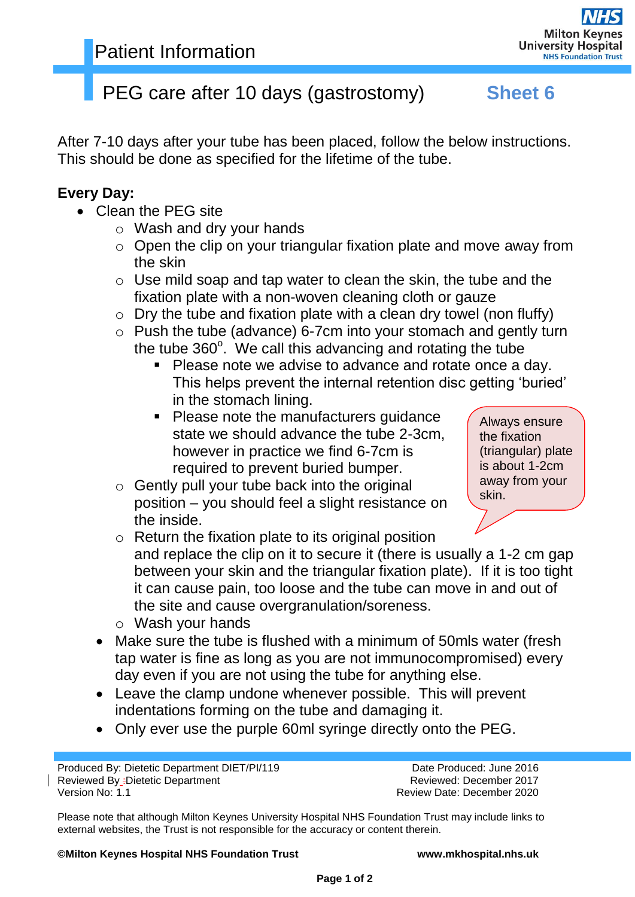## PEG care after 10 days (gastrostomy) **Sheet 6**

After 7-10 days after your tube has been placed, follow the below instructions. This should be done as specified for the lifetime of the tube.

### **Every Day:**

- Clean the PEG site
	- o Wash and dry your hands
	- o Open the clip on your triangular fixation plate and move away from the skin
	- $\circ$  Use mild soap and tap water to clean the skin, the tube and the fixation plate with a non-woven cleaning cloth or gauze
	- $\circ$  Dry the tube and fixation plate with a clean dry towel (non fluffy)
	- o Push the tube (advance) 6-7cm into your stomach and gently turn the tube  $360^\circ$ . We call this advancing and rotating the tube
		- **Please note we advise to advance and rotate once a day.** This helps prevent the internal retention disc getting 'buried' in the stomach lining.
		- Please note the manufacturers guidance state we should advance the tube 2-3cm, however in practice we find 6-7cm is required to prevent buried bumper.
	- $\circ$  Gently pull your tube back into the original position – you should feel a slight resistance on the inside.

Always ensure the fixation (triangular) plate is about 1-2cm away from your skin.

- $\circ$  Return the fixation plate to its original position and replace the clip on it to secure it (there is usually a 1-2 cm gap between your skin and the triangular fixation plate). If it is too tight it can cause pain, too loose and the tube can move in and out of the site and cause overgranulation/soreness.
- o Wash your hands
- Make sure the tube is flushed with a minimum of 50mls water (fresh tap water is fine as long as you are not immunocompromised) every day even if you are not using the tube for anything else.
- Leave the clamp undone whenever possible. This will prevent indentations forming on the tube and damaging it.
- Only ever use the purple 60ml syringe directly onto the PEG.

Produced By: Dietetic Department DIET/PI/119 Date Produced: June 2016 Reviewed By :Dietetic Department **Reviewed: December 2017** Reviewed: December 2017 Version No: 1.1 **No. 2020 Version No: 1.1** Review Date: December 2020

Please note that although Milton Keynes University Hospital NHS Foundation Trust may include links to external websites, the Trust is not responsible for the accuracy or content therein.

**©Milton Keynes Hospital NHS Foundation Trust www.mkhospital.nhs.uk**